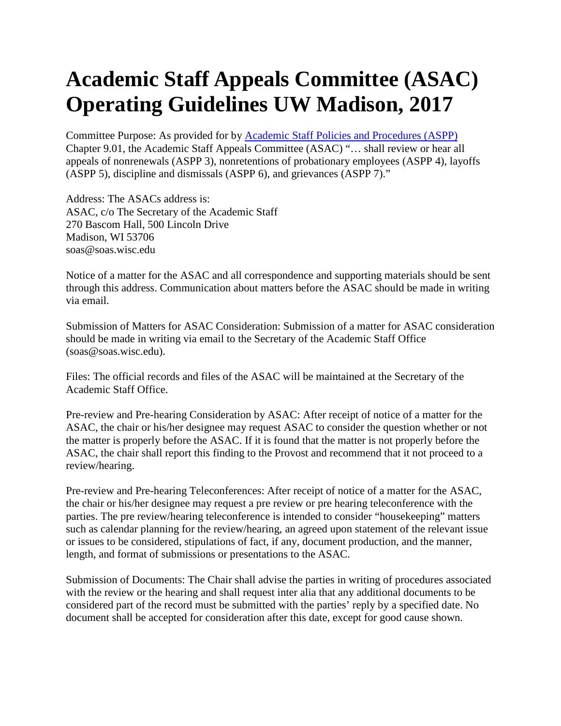## **Academic Staff Appeals Committee (ASAC) Operating Guidelines UW Madison, 2017**

Committee Purpose: As provided for by [Academic Staff Policies and Procedures \(ASPP\)](https://acstaff.wisc.edu/resources/policies-and-procedures) Chapter 9.01, the Academic Staff Appeals Committee (ASAC) "… shall review or hear all appeals of nonrenewals (ASPP 3), nonretentions of probationary employees (ASPP 4), layoffs (ASPP 5), discipline and dismissals (ASPP 6), and grievances (ASPP 7)."

Address: The ASACs address is: ASAC, c/o The Secretary of the Academic Staff 270 Bascom Hall, 500 Lincoln Drive Madison, WI 53706 soas@soas.wisc.edu

Notice of a matter for the ASAC and all correspondence and supporting materials should be sent through this address. Communication about matters before the ASAC should be made in writing via email.

Submission of Matters for ASAC Consideration: Submission of a matter for ASAC consideration should be made in writing via email to the Secretary of the Academic Staff Office (soas@soas.wisc.edu).

Files: The official records and files of the ASAC will be maintained at the Secretary of the Academic Staff Office.

Pre-review and Pre-hearing Consideration by ASAC: After receipt of notice of a matter for the ASAC, the chair or his/her designee may request ASAC to consider the question whether or not the matter is properly before the ASAC. If it is found that the matter is not properly before the ASAC, the chair shall report this finding to the Provost and recommend that it not proceed to a review/hearing.

Pre-review and Pre-hearing Teleconferences: After receipt of notice of a matter for the ASAC, the chair or his/her designee may request a pre review or pre hearing teleconference with the parties. The pre review/hearing teleconference is intended to consider "housekeeping" matters such as calendar planning for the review/hearing, an agreed upon statement of the relevant issue or issues to be considered, stipulations of fact, if any, document production, and the manner, length, and format of submissions or presentations to the ASAC.

Submission of Documents: The Chair shall advise the parties in writing of procedures associated with the review or the hearing and shall request inter alia that any additional documents to be considered part of the record must be submitted with the parties' reply by a specified date. No document shall be accepted for consideration after this date, except for good cause shown.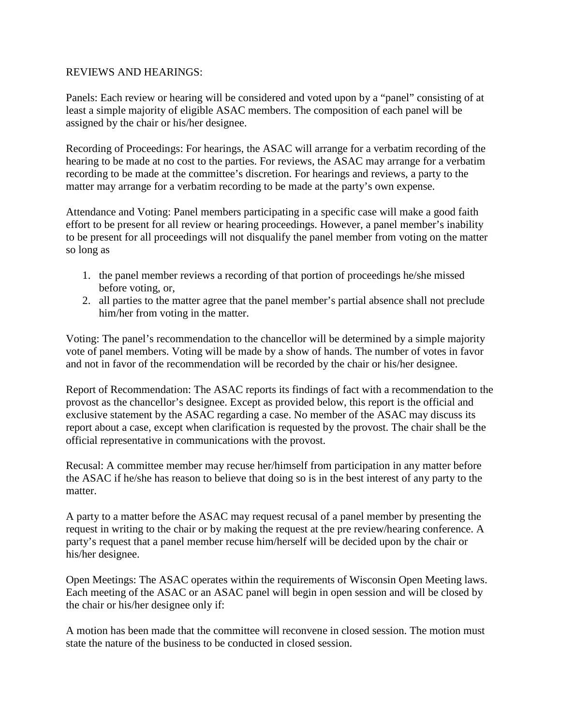## REVIEWS AND HEARINGS:

Panels: Each review or hearing will be considered and voted upon by a "panel" consisting of at least a simple majority of eligible ASAC members. The composition of each panel will be assigned by the chair or his/her designee.

Recording of Proceedings: For hearings, the ASAC will arrange for a verbatim recording of the hearing to be made at no cost to the parties. For reviews, the ASAC may arrange for a verbatim recording to be made at the committee's discretion. For hearings and reviews, a party to the matter may arrange for a verbatim recording to be made at the party's own expense.

Attendance and Voting: Panel members participating in a specific case will make a good faith effort to be present for all review or hearing proceedings. However, a panel member's inability to be present for all proceedings will not disqualify the panel member from voting on the matter so long as

- 1. the panel member reviews a recording of that portion of proceedings he/she missed before voting, or,
- 2. all parties to the matter agree that the panel member's partial absence shall not preclude him/her from voting in the matter.

Voting: The panel's recommendation to the chancellor will be determined by a simple majority vote of panel members. Voting will be made by a show of hands. The number of votes in favor and not in favor of the recommendation will be recorded by the chair or his/her designee.

Report of Recommendation: The ASAC reports its findings of fact with a recommendation to the provost as the chancellor's designee. Except as provided below, this report is the official and exclusive statement by the ASAC regarding a case. No member of the ASAC may discuss its report about a case, except when clarification is requested by the provost. The chair shall be the official representative in communications with the provost.

Recusal: A committee member may recuse her/himself from participation in any matter before the ASAC if he/she has reason to believe that doing so is in the best interest of any party to the matter.

A party to a matter before the ASAC may request recusal of a panel member by presenting the request in writing to the chair or by making the request at the pre review/hearing conference. A party's request that a panel member recuse him/herself will be decided upon by the chair or his/her designee.

Open Meetings: The ASAC operates within the requirements of Wisconsin Open Meeting laws. Each meeting of the ASAC or an ASAC panel will begin in open session and will be closed by the chair or his/her designee only if:

A motion has been made that the committee will reconvene in closed session. The motion must state the nature of the business to be conducted in closed session.